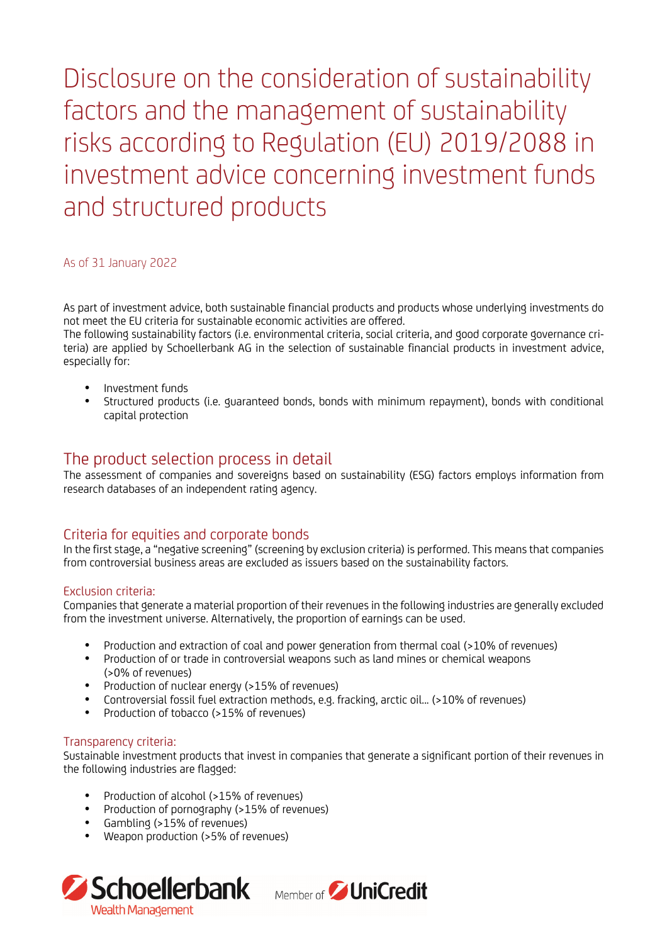Disclosure on the consideration of sustainability factors and the management of sustainability risks according to Regulation (EU) 2019/2088 in investment advice concerning investment funds and structured products

#### As of 31 January 2022

As part of investment advice, both sustainable financial products and products whose underlying investments do not meet the EU criteria for sustainable economic activities are offered.

The following sustainability factors (i.e. environmental criteria, social criteria, and good corporate governance criteria) are applied by Schoellerbank AG in the selection of sustainable financial products in investment advice, especially for:

- Investment funds
- Structured products (i.e. guaranteed bonds, bonds with minimum repayment), bonds with conditional capital protection

# The product selection process in detail

The assessment of companies and sovereigns based on sustainability (ESG) factors employs information from research databases of an independent rating agency.

# Criteria for equities and corporate bonds

In the first stage, a "negative screening" (screening by exclusion criteria) is performed. This means that companies from controversial business areas are excluded as issuers based on the sustainability factors.

#### Exclusion criteria:

Companies that generate a material proportion of their revenues in the following industries are generally excluded from the investment universe. Alternatively, the proportion of earnings can be used.

- Production and extraction of coal and power generation from thermal coal (>10% of revenues)
- Production of or trade in controversial weapons such as land mines or chemical weapons (>0% of revenues)
- Production of nuclear energy (>15% of revenues)
- Controversial fossil fuel extraction methods, e.g. fracking, arctic oil... (>10% of revenues)
- Production of tobacco (>15% of revenues)

#### Transparency criteria:

Sustainable investment products that invest in companies that generate a significant portion of their revenues in the following industries are flagged:

- Production of alcohol (>15% of revenues)
- Production of pornography (>15% of revenues)
- Gambling (>15% of revenues)
- Weapon production (>5% of revenues)